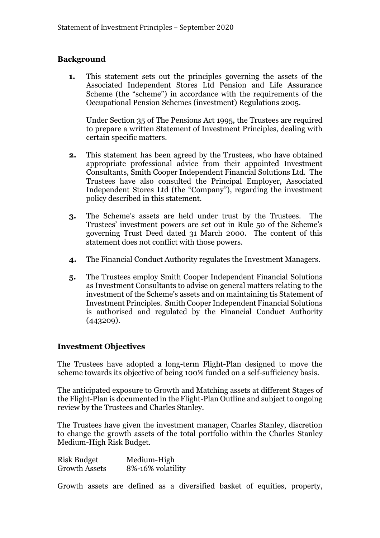#### **Background**

**1.** This statement sets out the principles governing the assets of the Associated Independent Stores Ltd Pension and Life Assurance Scheme (the "scheme") in accordance with the requirements of the Occupational Pension Schemes (investment) Regulations 2005.

Under Section 35 of The Pensions Act 1995, the Trustees are required to prepare a written Statement of Investment Principles, dealing with certain specific matters.

- **2.** This statement has been agreed by the Trustees, who have obtained appropriate professional advice from their appointed Investment Consultants, Smith Cooper Independent Financial Solutions Ltd. The Trustees have also consulted the Principal Employer, Associated Independent Stores Ltd (the "Company"), regarding the investment policy described in this statement.
- **3.** The Scheme's assets are held under trust by the Trustees. The Trustees' investment powers are set out in Rule 50 of the Scheme's governing Trust Deed dated 31 March 2000. The content of this statement does not conflict with those powers.
- **4.** The Financial Conduct Authority regulates the Investment Managers.
- **5.** The Trustees employ Smith Cooper Independent Financial Solutions as Investment Consultants to advise on general matters relating to the investment of the Scheme's assets and on maintaining tis Statement of Investment Principles. Smith Cooper Independent Financial Solutions is authorised and regulated by the Financial Conduct Authority (443209).

## **Investment Objectives**

The Trustees have adopted a long-term Flight-Plan designed to move the scheme towards its objective of being 100% funded on a self-sufficiency basis.

The anticipated exposure to Growth and Matching assets at different Stages of the Flight-Plan is documented in the Flight-Plan Outline and subject to ongoing review by the Trustees and Charles Stanley.

The Trustees have given the investment manager, Charles Stanley, discretion to change the growth assets of the total portfolio within the Charles Stanley Medium-High Risk Budget.

Risk Budget Medium-High Growth Assets 8%-16% volatility

Growth assets are defined as a diversified basket of equities, property,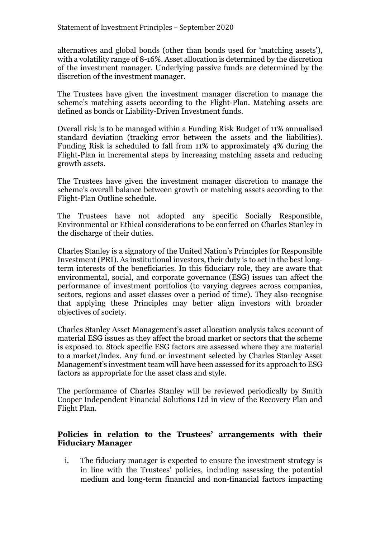alternatives and global bonds (other than bonds used for 'matching assets'), with a volatility range of 8-16%. Asset allocation is determined by the discretion of the investment manager. Underlying passive funds are determined by the discretion of the investment manager.

The Trustees have given the investment manager discretion to manage the scheme's matching assets according to the Flight-Plan. Matching assets are defined as bonds or Liability-Driven Investment funds.

Overall risk is to be managed within a Funding Risk Budget of 11% annualised standard deviation (tracking error between the assets and the liabilities). Funding Risk is scheduled to fall from 11% to approximately 4% during the Flight-Plan in incremental steps by increasing matching assets and reducing growth assets.

The Trustees have given the investment manager discretion to manage the scheme's overall balance between growth or matching assets according to the Flight-Plan Outline schedule.

The Trustees have not adopted any specific Socially Responsible, Environmental or Ethical considerations to be conferred on Charles Stanley in the discharge of their duties.

Charles Stanley is a signatory of the United Nation's Principles for Responsible Investment (PRI). As institutional investors, their duty is to act in the best longterm interests of the beneficiaries. In this fiduciary role, they are aware that environmental, social, and corporate governance (ESG) issues can affect the performance of investment portfolios (to varying degrees across companies, sectors, regions and asset classes over a period of time). They also recognise that applying these Principles may better align investors with broader objectives of society.

Charles Stanley Asset Management's asset allocation analysis takes account of material ESG issues as they affect the broad market or sectors that the scheme is exposed to. Stock specific ESG factors are assessed where they are material to a market/index. Any fund or investment selected by Charles Stanley Asset Management's investment team will have been assessed for its approach to ESG factors as appropriate for the asset class and style.

The performance of Charles Stanley will be reviewed periodically by Smith Cooper Independent Financial Solutions Ltd in view of the Recovery Plan and Flight Plan.

#### **Policies in relation to the Trustees' arrangements with their Fiduciary Manager**

i. The fiduciary manager is expected to ensure the investment strategy is in line with the Trustees' policies, including assessing the potential medium and long-term financial and non-financial factors impacting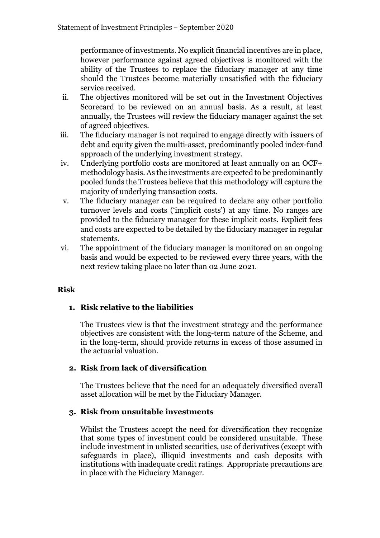performance of investments. No explicit financial incentives are in place, however performance against agreed objectives is monitored with the ability of the Trustees to replace the fiduciary manager at any time should the Trustees become materially unsatisfied with the fiduciary service received.

- ii. The objectives monitored will be set out in the Investment Objectives Scorecard to be reviewed on an annual basis. As a result, at least annually, the Trustees will review the fiduciary manager against the set of agreed objectives.
- iii. The fiduciary manager is not required to engage directly with issuers of debt and equity given the multi-asset, predominantly pooled index-fund approach of the underlying investment strategy.
- iv. Underlying portfolio costs are monitored at least annually on an OCF+ methodology basis. As the investments are expected to be predominantly pooled funds the Trustees believe that this methodology will capture the majority of underlying transaction costs.
- v. The fiduciary manager can be required to declare any other portfolio turnover levels and costs ('implicit costs') at any time. No ranges are provided to the fiduciary manager for these implicit costs. Explicit fees and costs are expected to be detailed by the fiduciary manager in regular statements.
- vi. The appointment of the fiduciary manager is monitored on an ongoing basis and would be expected to be reviewed every three years, with the next review taking place no later than 02 June 2021.

## **Risk**

## **1. Risk relative to the liabilities**

The Trustees view is that the investment strategy and the performance objectives are consistent with the long-term nature of the Scheme, and in the long-term, should provide returns in excess of those assumed in the actuarial valuation.

## **2. Risk from lack of diversification**

The Trustees believe that the need for an adequately diversified overall asset allocation will be met by the Fiduciary Manager.

## **3. Risk from unsuitable investments**

Whilst the Trustees accept the need for diversification they recognize that some types of investment could be considered unsuitable. These include investment in unlisted securities, use of derivatives (except with safeguards in place), illiquid investments and cash deposits with institutions with inadequate credit ratings. Appropriate precautions are in place with the Fiduciary Manager.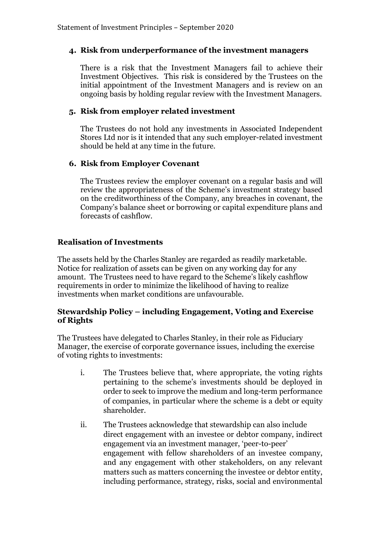## **4. Risk from underperformance of the investment managers**

There is a risk that the Investment Managers fail to achieve their Investment Objectives. This risk is considered by the Trustees on the initial appointment of the Investment Managers and is review on an ongoing basis by holding regular review with the Investment Managers.

## **5. Risk from employer related investment**

The Trustees do not hold any investments in Associated Independent Stores Ltd nor is it intended that any such employer-related investment should be held at any time in the future.

## **6. Risk from Employer Covenant**

The Trustees review the employer covenant on a regular basis and will review the appropriateness of the Scheme's investment strategy based on the creditworthiness of the Company, any breaches in covenant, the Company's balance sheet or borrowing or capital expenditure plans and forecasts of cashflow.

# **Realisation of Investments**

The assets held by the Charles Stanley are regarded as readily marketable. Notice for realization of assets can be given on any working day for any amount. The Trustees need to have regard to the Scheme's likely cashflow requirements in order to minimize the likelihood of having to realize investments when market conditions are unfavourable.

#### **Stewardship Policy – including Engagement, Voting and Exercise of Rights**

The Trustees have delegated to Charles Stanley, in their role as Fiduciary Manager, the exercise of corporate governance issues, including the exercise of voting rights to investments:

- i. The Trustees believe that, where appropriate, the voting rights pertaining to the scheme's investments should be deployed in order to seek to improve the medium and long-term performance of companies, in particular where the scheme is a debt or equity shareholder.
- ii. The Trustees acknowledge that stewardship can also include direct engagement with an investee or debtor company, indirect engagement via an investment manager, 'peer-to-peer' engagement with fellow shareholders of an investee company, and any engagement with other stakeholders, on any relevant matters such as matters concerning the investee or debtor entity, including performance, strategy, risks, social and environmental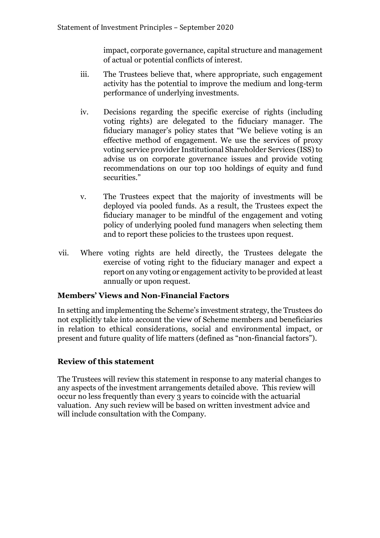impact, corporate governance, capital structure and management of actual or potential conflicts of interest.

- iii. The Trustees believe that, where appropriate, such engagement activity has the potential to improve the medium and long-term performance of underlying investments.
- iv. Decisions regarding the specific exercise of rights (including voting rights) are delegated to the fiduciary manager. The fiduciary manager's policy states that "We believe voting is an effective method of engagement. We use the services of proxy voting service provider Institutional Shareholder Services (ISS) to advise us on corporate governance issues and provide voting recommendations on our top 100 holdings of equity and fund securities."
- v. The Trustees expect that the majority of investments will be deployed via pooled funds. As a result, the Trustees expect the fiduciary manager to be mindful of the engagement and voting policy of underlying pooled fund managers when selecting them and to report these policies to the trustees upon request.
- vii. Where voting rights are held directly, the Trustees delegate the exercise of voting right to the fiduciary manager and expect a report on any voting or engagement activity to be provided at least annually or upon request.

## **Members' Views and Non-Financial Factors**

In setting and implementing the Scheme's investment strategy, the Trustees do not explicitly take into account the view of Scheme members and beneficiaries in relation to ethical considerations, social and environmental impact, or present and future quality of life matters (defined as "non-financial factors").

## **Review of this statement**

The Trustees will review this statement in response to any material changes to any aspects of the investment arrangements detailed above. This review will occur no less frequently than every 3 years to coincide with the actuarial valuation. Any such review will be based on written investment advice and will include consultation with the Company.